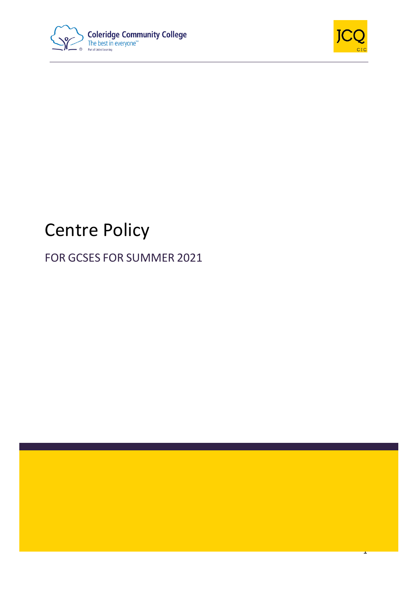



# Centre Policy

FOR GCSES FOR SUMMER 2021

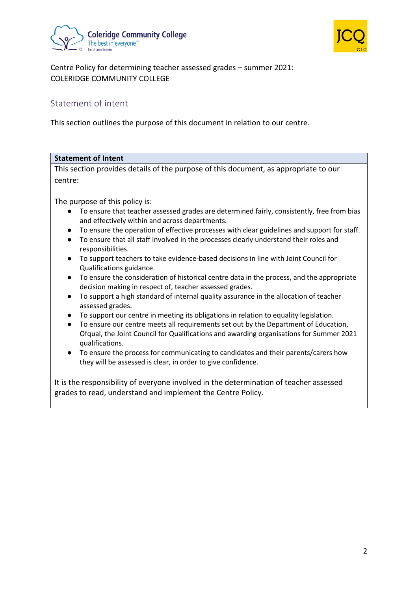



Centre Policy for determining teacher assessed grades – summer 2021: COLERIDGE COMMUNITY COLLEGE

## Statement of intent

This section outlines the purpose of this document in relation to our centre.

| <b>Statement of Intent</b>                                                                                                                                                                                                                                                                        |
|---------------------------------------------------------------------------------------------------------------------------------------------------------------------------------------------------------------------------------------------------------------------------------------------------|
| This section provides details of the purpose of this document, as appropriate to our                                                                                                                                                                                                              |
| centre:                                                                                                                                                                                                                                                                                           |
|                                                                                                                                                                                                                                                                                                   |
| The purpose of this policy is:                                                                                                                                                                                                                                                                    |
| To ensure that teacher assessed grades are determined fairly, consistently, free from bias<br>$\bullet$<br>and effectively within and across departments.                                                                                                                                         |
| To ensure the operation of effective processes with clear guidelines and support for staff.<br>$\bullet$<br>To ensure that all staff involved in the processes clearly understand their roles and<br>$\bullet$                                                                                    |
| responsibilities.<br>To support teachers to take evidence-based decisions in line with Joint Council for<br>$\bullet$<br>Qualifications guidance.                                                                                                                                                 |
| To ensure the consideration of historical centre data in the process, and the appropriate<br>$\bullet$<br>decision making in respect of, teacher assessed grades.                                                                                                                                 |
| To support a high standard of internal quality assurance in the allocation of teacher<br>$\bullet$<br>assessed grades.                                                                                                                                                                            |
| To support our centre in meeting its obligations in relation to equality legislation.<br>$\bullet$<br>To ensure our centre meets all requirements set out by the Department of Education,<br>$\bullet$<br>Ofqual, the Joint Council for Qualifications and awarding organisations for Summer 2021 |
| qualifications.                                                                                                                                                                                                                                                                                   |
| To ensure the process for communicating to candidates and their parents/carers how<br>$\bullet$<br>they will be assessed is clear, in order to give confidence.                                                                                                                                   |
| It is the responsibility of everyone involved in the determination of teacher assessed<br>grades to read, understand and implement the Centre Policy.                                                                                                                                             |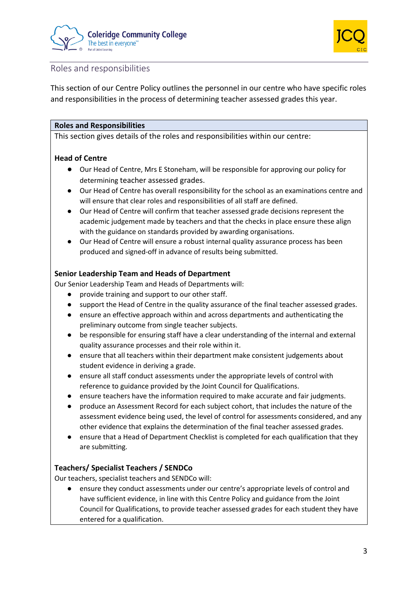



## Roles and responsibilities

This section of our Centre Policy outlines the personnel in our centre who have specific roles and responsibilities in the process of determining teacher assessed grades this year.

## **Roles and Responsibilities**

This section gives details of the roles and responsibilities within our centre:

## **Head of Centre**

- Our Head of Centre, Mrs E Stoneham, will be responsible for approving our policy for determining teacher assessed grades.
- Our Head of Centre has overall responsibility for the school as an examinations centre and will ensure that clear roles and responsibilities of all staff are defined.
- Our Head of Centre will confirm that teacher assessed grade decisions represent the academic judgement made by teachers and that the checks in place ensure these align with the guidance on standards provided by awarding organisations.
- Our Head of Centre will ensure a robust internal quality assurance process has been produced and signed-off in advance of results being submitted.

## **Senior Leadership Team and Heads of Department**

Our Senior Leadership Team and Heads of Departments will:

- provide training and support to our other staff.
- support the Head of Centre in the quality assurance of the final teacher assessed grades.
- ensure an effective approach within and across departments and authenticating the preliminary outcome from single teacher subjects.
- be responsible for ensuring staff have a clear understanding of the internal and external quality assurance processes and their role within it.
- ensure that all teachers within their department make consistent judgements about student evidence in deriving a grade.
- ensure all staff conduct assessments under the appropriate levels of control with reference to guidance provided by the Joint Council for Qualifications.
- ensure teachers have the information required to make accurate and fair judgments.
- produce an Assessment Record for each subject cohort, that includes the nature of the assessment evidence being used, the level of control for assessments considered, and any other evidence that explains the determination of the final teacher assessed grades.
- ensure that a Head of Department Checklist is completed for each qualification that they are submitting.

## **Teachers/ Specialist Teachers / SENDCo**

Our teachers, specialist teachers and SENDCo will:

● ensure they conduct assessments under our centre's appropriate levels of control and have sufficient evidence, in line with this Centre Policy and guidance from the Joint Council for Qualifications, to provide teacher assessed grades for each student they have entered for a qualification.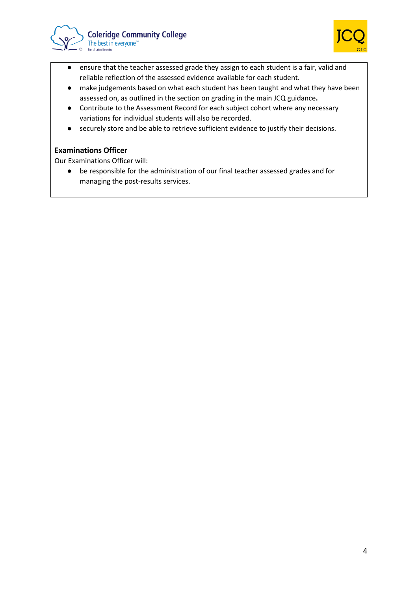



- ensure that the teacher assessed grade they assign to each student is a fair, valid and reliable reflection of the assessed evidence available for each student.
- make judgements based on what each student has been taught and what they have been assessed on, as outlined in the section on grading in the main JCQ guidance**.**
- Contribute to the Assessment Record for each subject cohort where any necessary variations for individual students will also be recorded.
- securely store and be able to retrieve sufficient evidence to justify their decisions.

## **Examinations Officer**

Our Examinations Officer will:

● be responsible for the administration of our final teacher assessed grades and for managing the post-results services.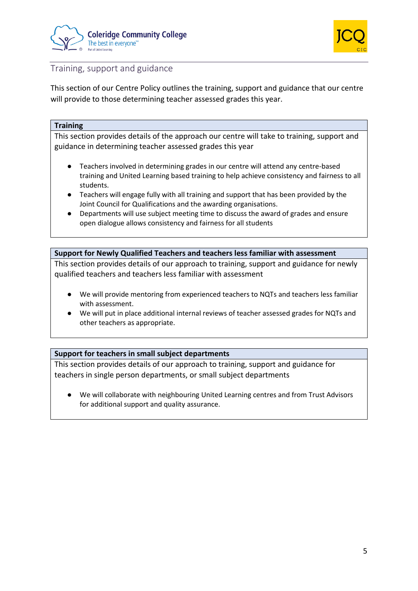



## Training, support and guidance

This section of our Centre Policy outlines the training, support and guidance that our centre will provide to those determining teacher assessed grades this year.

#### **Training**

This section provides details of the approach our centre will take to training, support and guidance in determining teacher assessed grades this year

- Teachers involved in determining grades in our centre will attend any centre-based training and United Learning based training to help achieve consistency and fairness to all students.
- Teachers will engage fully with all training and support that has been provided by the Joint Council for Qualifications and the awarding organisations.
- Departments will use subject meeting time to discuss the award of grades and ensure open dialogue allows consistency and fairness for all students

#### **Support for Newly Qualified Teachers and teachers less familiar with assessment**

This section provides details of our approach to training, support and guidance for newly qualified teachers and teachers less familiar with assessment

- We will provide mentoring from experienced teachers to NQTs and teachers less familiar with assessment.
- We will put in place additional internal reviews of teacher assessed grades for NQTs and other teachers as appropriate.

#### **Support for teachers in small subject departments**

This section provides details of our approach to training, support and guidance for teachers in single person departments, or small subject departments

● We will collaborate with neighbouring United Learning centres and from Trust Advisors for additional support and quality assurance.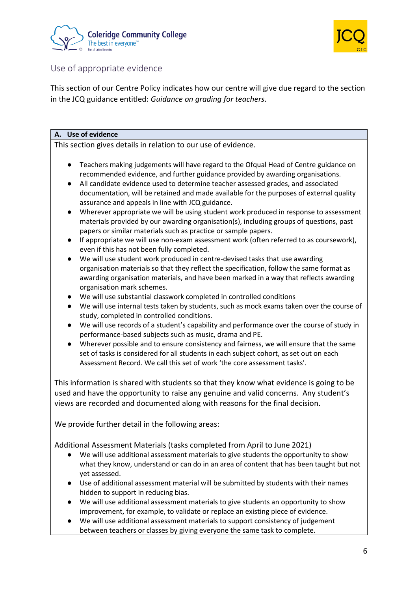



## Use of appropriate evidence

This section of our Centre Policy indicates how our centre will give due regard to the section in the JCQ guidance entitled: *Guidance on grading for teachers*.

## **A. Use of evidence**

This section gives details in relation to our use of evidence.

- Teachers making judgements will have regard to the Ofqual Head of Centre guidance on recommended evidence, and further guidance provided by awarding organisations.
- All candidate evidence used to determine teacher assessed grades, and associated documentation, will be retained and made available for the purposes of external quality assurance and appeals in line with JCQ guidance.
- Wherever appropriate we will be using student work produced in response to assessment materials provided by our awarding organisation(s), including groups of questions, past papers or similar materials such as practice or sample papers.
- If appropriate we will use non-exam assessment work (often referred to as coursework), even if this has not been fully completed.
- We will use student work produced in centre-devised tasks that use awarding organisation materials so that they reflect the specification, follow the same format as awarding organisation materials, and have been marked in a way that reflects awarding organisation mark schemes.
- We will use substantial classwork completed in controlled conditions
- We will use internal tests taken by students, such as mock exams taken over the course of study, completed in controlled conditions.
- We will use records of a student's capability and performance over the course of study in performance-based subjects such as music, drama and PE.
- Wherever possible and to ensure consistency and fairness, we will ensure that the same set of tasks is considered for all students in each subject cohort, as set out on each Assessment Record. We call this set of work 'the core assessment tasks'.

This information is shared with students so that they know what evidence is going to be used and have the opportunity to raise any genuine and valid concerns. Any student's views are recorded and documented along with reasons for the final decision.

We provide further detail in the following areas:

Additional Assessment Materials (tasks completed from April to June 2021)

- We will use additional assessment materials to give students the opportunity to show what they know, understand or can do in an area of content that has been taught but not yet assessed.
- Use of additional assessment material will be submitted by students with their names hidden to support in reducing bias.
- We will use additional assessment materials to give students an opportunity to show improvement, for example, to validate or replace an existing piece of evidence.
- We will use additional assessment materials to support consistency of judgement between teachers or classes by giving everyone the same task to complete.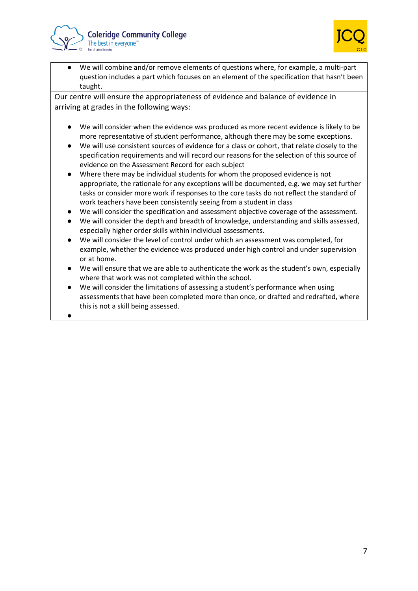



We will combine and/or remove elements of questions where, for example, a multi-part question includes a part which focuses on an element of the specification that hasn't been taught.

Our centre will ensure the appropriateness of evidence and balance of evidence in arriving at grades in the following ways:

- We will consider when the evidence was produced as more recent evidence is likely to be more representative of student performance, although there may be some exceptions.
- We will use consistent sources of evidence for a class or cohort, that relate closely to the specification requirements and will record our reasons for the selection of this source of evidence on the Assessment Record for each subject
- Where there may be individual students for whom the proposed evidence is not appropriate, the rationale for any exceptions will be documented, e.g. we may set further tasks or consider more work if responses to the core tasks do not reflect the standard of work teachers have been consistently seeing from a student in class
- We will consider the specification and assessment objective coverage of the assessment.
- We will consider the depth and breadth of knowledge, understanding and skills assessed, especially higher order skills within individual assessments.
- We will consider the level of control under which an assessment was completed, for example, whether the evidence was produced under high control and under supervision or at home.
- We will ensure that we are able to authenticate the work as the student's own, especially where that work was not completed within the school.
- We will consider the limitations of assessing a student's performance when using assessments that have been completed more than once, or drafted and redrafted, where this is not a skill being assessed.
- ●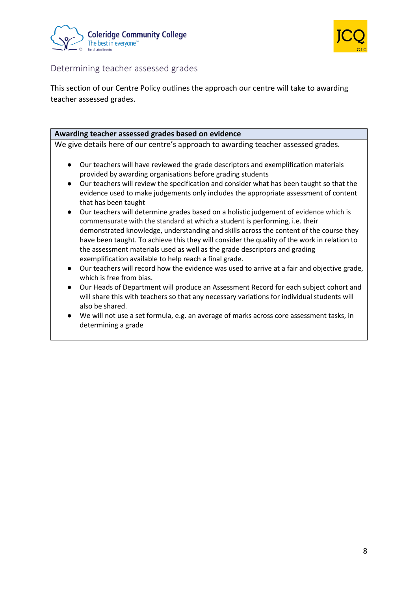



Determining teacher assessed grades

This section of our Centre Policy outlines the approach our centre will take to awarding teacher assessed grades.

### **Awarding teacher assessed grades based on evidence**

We give details here of our centre's approach to awarding teacher assessed grades*.*

- Our teachers will have reviewed the grade descriptors and exemplification materials provided by awarding organisations before grading students
- Our teachers will review the specification and consider what has been taught so that the evidence used to make judgements only includes the appropriate assessment of content that has been taught
- Our teachers will determine grades based on a holistic judgement of evidence which is commensurate with the standard at which a student is performing, i.e. their demonstrated knowledge, understanding and skills across the content of the course they have been taught. To achieve this they will consider the quality of the work in relation to the assessment materials used as well as the grade descriptors and grading exemplification available to help reach a final grade.
- Our teachers will record how the evidence was used to arrive at a fair and objective grade, which is free from bias.
- Our Heads of Department will produce an Assessment Record for each subject cohort and will share this with teachers so that any necessary variations for individual students will also be shared.
- We will not use a set formula, e.g. an average of marks across core assessment tasks, in determining a grade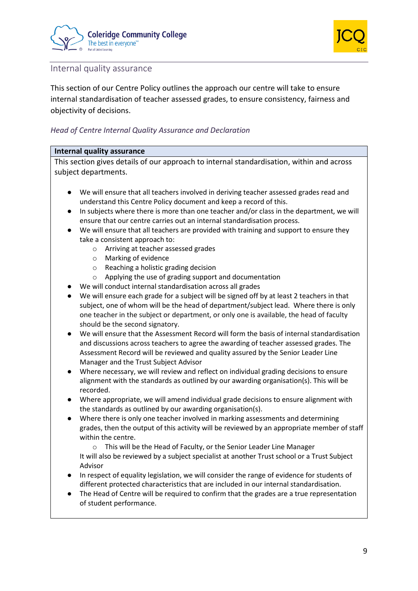



## Internal quality assurance

This section of our Centre Policy outlines the approach our centre will take to ensure internal standardisation of teacher assessed grades, to ensure consistency, fairness and objectivity of decisions.

## *Head of Centre Internal Quality Assurance and Declaration*

#### **Internal quality assurance**

This section gives details of our approach to internal standardisation, within and across subject departments.

- We will ensure that all teachers involved in deriving teacher assessed grades read and understand this Centre Policy document and keep a record of this.
- In subjects where there is more than one teacher and/or class in the department, we will ensure that our centre carries out an internal standardisation process.
- We will ensure that all teachers are provided with training and support to ensure they take a consistent approach to:
	- o Arriving at teacher assessed grades
	- o Marking of evidence
	- o Reaching a holistic grading decision
	- o Applying the use of grading support and documentation
- We will conduct internal standardisation across all grades
- We will ensure each grade for a subject will be signed off by at least 2 teachers in that subject, one of whom will be the head of department/subject lead. Where there is only one teacher in the subject or department, or only one is available, the head of faculty should be the second signatory.
- We will ensure that the Assessment Record will form the basis of internal standardisation and discussions across teachers to agree the awarding of teacher assessed grades. The Assessment Record will be reviewed and quality assured by the Senior Leader Line Manager and the Trust Subject Advisor
- Where necessary, we will review and reflect on individual grading decisions to ensure alignment with the standards as outlined by our awarding organisation(s). This will be recorded.
- Where appropriate, we will amend individual grade decisions to ensure alignment with the standards as outlined by our awarding organisation(s).
- Where there is only one teacher involved in marking assessments and determining grades, then the output of this activity will be reviewed by an appropriate member of staff within the centre.

o This will be the Head of Faculty, or the Senior Leader Line Manager It will also be reviewed by a subject specialist at another Trust school or a Trust Subject Advisor

- In respect of equality legislation, we will consider the range of evidence for students of different protected characteristics that are included in our internal standardisation.
- The Head of Centre will be required to confirm that the grades are a true representation of student performance.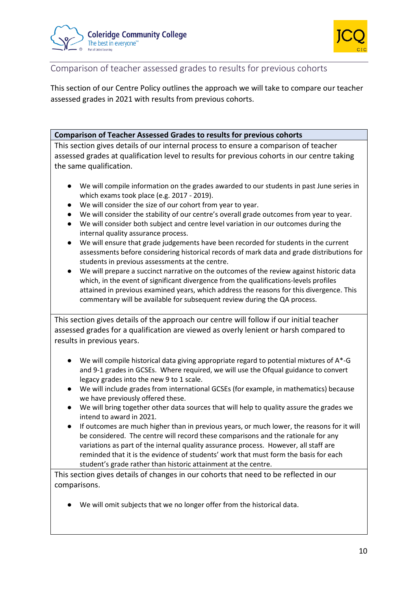



Comparison of teacher assessed grades to results for previous cohorts

This section of our Centre Policy outlines the approach we will take to compare our teacher assessed grades in 2021 with results from previous cohorts.

**Comparison of Teacher Assessed Grades to results for previous cohorts**

This section gives details of our internal process to ensure a comparison of teacher assessed grades at qualification level to results for previous cohorts in our centre taking the same qualification.

- We will compile information on the grades awarded to our students in past June series in which exams took place (e.g. 2017 - 2019).
- We will consider the size of our cohort from year to year.
- We will consider the stability of our centre's overall grade outcomes from year to year.
- We will consider both subject and centre level variation in our outcomes during the internal quality assurance process.
- We will ensure that grade judgements have been recorded for students in the current assessments before considering historical records of mark data and grade distributions for students in previous assessments at the centre.
- We will prepare a succinct narrative on the outcomes of the review against historic data which, in the event of significant divergence from the qualifications-levels profiles attained in previous examined years, which address the reasons for this divergence. This commentary will be available for subsequent review during the QA process.

This section gives details of the approach our centre will follow if our initial teacher assessed grades for a qualification are viewed as overly lenient or harsh compared to results in previous years.

- We will compile historical data giving appropriate regard to potential mixtures of A\*-G and 9-1 grades in GCSEs. Where required, we will use the Ofqual guidance to convert legacy grades into the new 9 to 1 scale.
- We will include grades from international GCSEs (for example, in mathematics) because we have previously offered these.
- We will bring together other data sources that will help to quality assure the grades we intend to award in 2021*.*
- If outcomes are much higher than in previous years, or much lower, the reasons for it will be considered. The centre will record these comparisons and the rationale for any variations as part of the internal quality assurance process. However, all staff are reminded that it is the evidence of students' work that must form the basis for each student's grade rather than historic attainment at the centre.

This section gives details of changes in our cohorts that need to be reflected in our comparisons.

● We will omit subjects that we no longer offer from the historical data.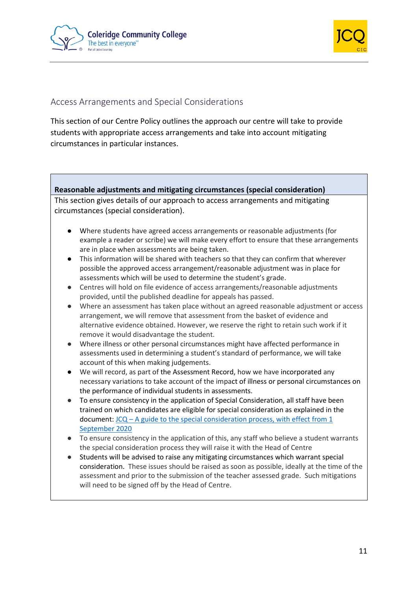



## Access Arrangements and Special Considerations

This section of our Centre Policy outlines the approach our centre will take to provide students with appropriate access arrangements and take into account mitigating circumstances in particular instances.

#### **Reasonable adjustments and mitigating circumstances (special consideration)**

This section gives details of our approach to access arrangements and mitigating circumstances (special consideration).

- Where students have agreed access arrangements or reasonable adjustments (for example a reader or scribe) we will make every effort to ensure that these arrangements are in place when assessments are being taken.
- This information will be shared with teachers so that they can confirm that wherever possible the approved access arrangement/reasonable adjustment was in place for assessments which will be used to determine the student's grade.
- Centres will hold on file evidence of access arrangements/reasonable adjustments provided, until the published deadline for appeals has passed.
- Where an assessment has taken place without an agreed reasonable adjustment or access arrangement, we will remove that assessment from the basket of evidence and alternative evidence obtained. However, we reserve the right to retain such work if it remove it would disadvantage the student.
- Where illness or other personal circumstances might have affected performance in assessments used in determining a student's standard of performance, we will take account of this when making judgements.
- We will record, as part of the Assessment Record, how we have incorporated any necessary variations to take account of the impact of illness or personal circumstances on the performance of individual students in assessments.
- To ensure consistency in the application of Special Consideration, all staff have been trained on which candidates are eligible for special consideration as explained in the document: JCQ – [A guide to the special consideration process, with effect from 1](https://www.jcq.org.uk/wp-content/uploads/2020/08/A-guide-to-the-spec-con-process-202021-Website-version.pdf)  [September 2020](https://www.jcq.org.uk/wp-content/uploads/2020/08/A-guide-to-the-spec-con-process-202021-Website-version.pdf)
- To ensure consistency in the application of this, any staff who believe a student warrants the special consideration process they will raise it with the Head of Centre
- Students will be advised to raise any mitigating circumstances which warrant special consideration. These issues should be raised as soon as possible, ideally at the time of the assessment and prior to the submission of the teacher assessed grade. Such mitigations will need to be signed off by the Head of Centre.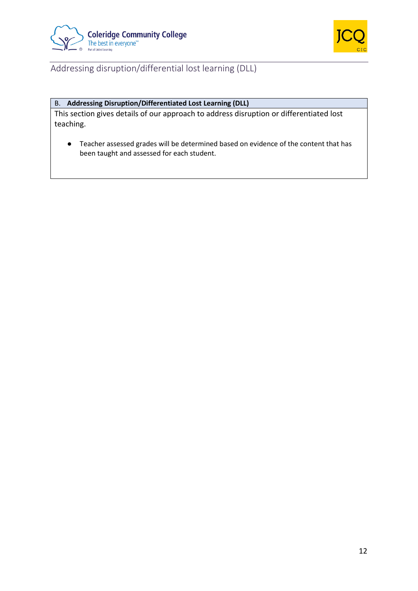



# Addressing disruption/differential lost learning (DLL)

## B. **Addressing Disruption/Differentiated Lost Learning (DLL)**

This section gives details of our approach to address disruption or differentiated lost teaching.

● Teacher assessed grades will be determined based on evidence of the content that has been taught and assessed for each student.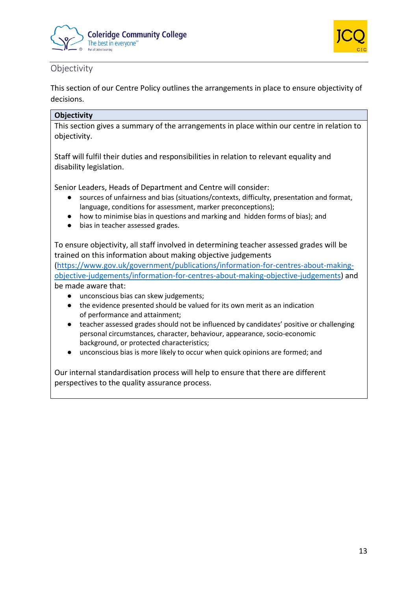



## **Objectivity**

This section of our Centre Policy outlines the arrangements in place to ensure objectivity of decisions.

## **Objectivity**

This section gives a summary of the arrangements in place within our centre in relation to objectivity.

Staff will fulfil their duties and responsibilities in relation to relevant equality and disability legislation.

Senior Leaders, Heads of Department and Centre will consider:

- sources of unfairness and bias (situations/contexts, difficulty, presentation and format, language, conditions for assessment, marker preconceptions);
- how to minimise bias in questions and marking and hidden forms of bias); and
- bias in teacher assessed grades.

To ensure objectivity, all staff involved in determining teacher assessed grades will be trained on this information about making objective judgements

[\(https://www.gov.uk/government/publications/information-for-centres-about-making](https://www.gov.uk/government/publications/information-for-centres-about-making-objective-judgements/information-for-centres-about-making-objective-judgements)[objective-judgements/information-for-centres-about-making-objective-judgements\)](https://www.gov.uk/government/publications/information-for-centres-about-making-objective-judgements/information-for-centres-about-making-objective-judgements) and be made aware that:

- unconscious bias can skew judgements;
- the evidence presented should be valued for its own merit as an indication of performance and attainment;
- teacher assessed grades should not be influenced by candidates' positive or challenging personal circumstances, character, behaviour, appearance, socio-economic background, or protected characteristics;
- unconscious bias is more likely to occur when quick opinions are formed; and

Our internal standardisation process will help to ensure that there are different perspectives to the quality assurance process.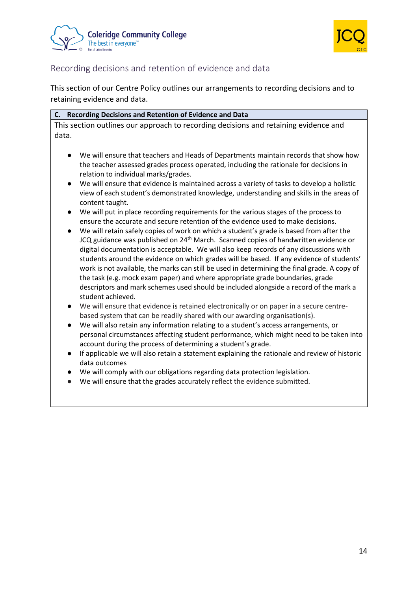



# Recording decisions and retention of evidence and data

This section of our Centre Policy outlines our arrangements to recording decisions and to retaining evidence and data.

#### **C. Recording Decisions and Retention of Evidence and Data**

This section outlines our approach to recording decisions and retaining evidence and data.

- We will ensure that teachers and Heads of Departments maintain records that show how the teacher assessed grades process operated, including the rationale for decisions in relation to individual marks/grades.
- We will ensure that evidence is maintained across a variety of tasks to develop a holistic view of each student's demonstrated knowledge, understanding and skills in the areas of content taught.
- We will put in place recording requirements for the various stages of the process to ensure the accurate and secure retention of the evidence used to make decisions.
- We will retain safely copies of work on which a student's grade is based from after the JCQ guidance was published on 24<sup>th</sup> March. Scanned copies of handwritten evidence or digital documentation is acceptable. We will also keep records of any discussions with students around the evidence on which grades will be based. If any evidence of students' work is not available, the marks can still be used in determining the final grade. A copy of the task (e.g. mock exam paper) and where appropriate grade boundaries, grade descriptors and mark schemes used should be included alongside a record of the mark a student achieved.
- We will ensure that evidence is retained electronically or on paper in a secure centrebased system that can be readily shared with our awarding organisation(s).
- We will also retain any information relating to a student's access arrangements, or personal circumstances affecting student performance, which might need to be taken into account during the process of determining a student's grade.
- If applicable we will also retain a statement explaining the rationale and review of historic data outcomes
- We will comply with our obligations regarding data protection legislation.
- We will ensure that the grades accurately reflect the evidence submitted.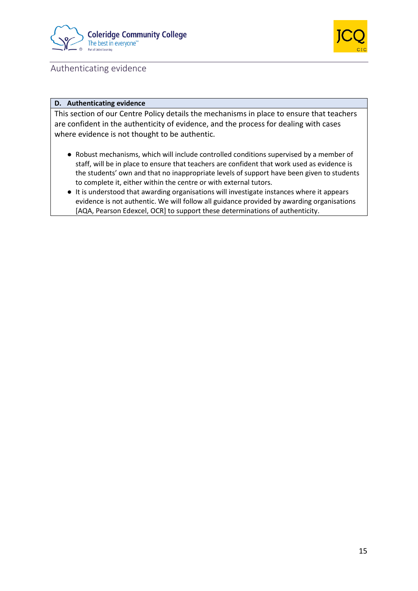



## Authenticating evidence

#### **D. Authenticating evidence**

This section of our Centre Policy details the mechanisms in place to ensure that teachers are confident in the authenticity of evidence, and the process for dealing with cases where evidence is not thought to be authentic.

- Robust mechanisms, which will include controlled conditions supervised by a member of staff, will be in place to ensure that teachers are confident that work used as evidence is the students' own and that no inappropriate levels of support have been given to students to complete it, either within the centre or with external tutors.
- It is understood that awarding organisations will investigate instances where it appears evidence is not authentic. We will follow all guidance provided by awarding organisations [AQA, Pearson Edexcel, OCR] to support these determinations of authenticity.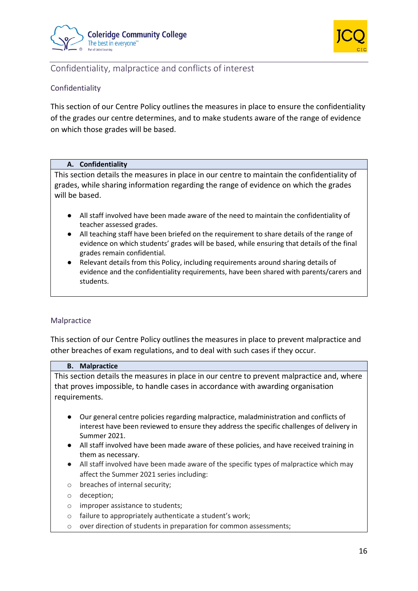



Confidentiality, malpractice and conflicts of interest

## Confidentiality

This section of our Centre Policy outlines the measures in place to ensure the confidentiality of the grades our centre determines, and to make students aware of the range of evidence on which those grades will be based.

#### **A. Confidentiality**

This section details the measures in place in our centre to maintain the confidentiality of grades, while sharing information regarding the range of evidence on which the grades will be based.

- All staff involved have been made aware of the need to maintain the confidentiality of teacher assessed grades.
- All teaching staff have been briefed on the requirement to share details of the range of evidence on which students' grades will be based, while ensuring that details of the final grades remain confidential.
- Relevant details from this Policy, including requirements around sharing details of evidence and the confidentiality requirements, have been shared with parents/carers and students.

### **Malpractice**

This section of our Centre Policy outlines the measures in place to prevent malpractice and other breaches of exam regulations, and to deal with such cases if they occur.

#### **B. Malpractice**

This section details the measures in place in our centre to prevent malpractice and, where that proves impossible, to handle cases in accordance with awarding organisation requirements.

- Our general centre policies regarding malpractice, maladministration and conflicts of interest have been reviewed to ensure they address the specific challenges of delivery in Summer 2021.
- All staff involved have been made aware of these policies, and have received training in them as necessary.
- All staff involved have been made aware of the specific types of malpractice which may affect the Summer 2021 series including:
- o breaches of internal security;
- o deception;
- o improper assistance to students;
- o failure to appropriately authenticate a student's work;
- o over direction of students in preparation for common assessments;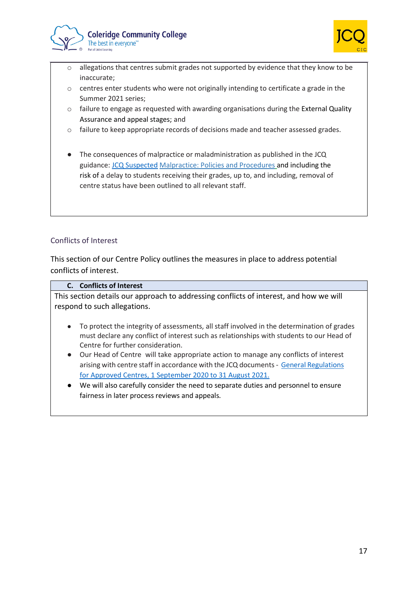



- o allegations that centres submit grades not supported by evidence that they know to be inaccurate;
- $\circ$  centres enter students who were not originally intending to certificate a grade in the Summer 2021 series;
- $\circ$  failure to engage as requested with awarding organisations during the External Quality Assurance and appeal stages; and
- o failure to keep appropriate records of decisions made and teacher assessed grades.
- The consequences of malpractice or maladministration as published in the JCQ guidance: [JCQ Suspected](https://www.jcq.org.uk/exams-office/malpractice/jcq-suspected-malpractice-policies-and-procedures-2019-2020) Malpractice: Policies and Procedures and including the risk of a delay to students receiving their grades, up to, and including, removal of centre status have been outlined to all relevant staff.

### Conflicts of Interest

This section of our Centre Policy outlines the measures in place to address potential conflicts of interest.

#### **C. Conflicts of Interest**

This section details our approach to addressing conflicts of interest, and how we will respond to such allegations.

- To protect the integrity of assessments, all staff involved in the determination of grades must declare any conflict of interest such as relationships with students to our Head of Centre for further consideration.
- Our Head of Centre will take appropriate action to manage any conflicts of interest arising with centre staff in accordance with the JCQ documents - [General Regulations](https://www.jcq.org.uk/wp-content/uploads/2020/09/Gen_regs_approved_centres_20-21_FINAL.pdf)  [for Approved Centres, 1 September 2020 to 31 August 2021.](https://www.jcq.org.uk/wp-content/uploads/2020/09/Gen_regs_approved_centres_20-21_FINAL.pdf)
- We will also carefully consider the need to separate duties and personnel to ensure fairness in later process reviews and appeals*.*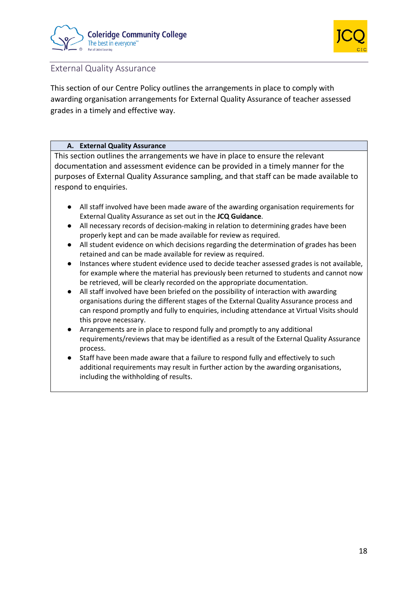



## External Quality Assurance

This section of our Centre Policy outlines the arrangements in place to comply with awarding organisation arrangements for External Quality Assurance of teacher assessed grades in a timely and effective way.

#### **A. External Quality Assurance**

This section outlines the arrangements we have in place to ensure the relevant documentation and assessment evidence can be provided in a timely manner for the purposes of External Quality Assurance sampling, and that staff can be made available to respond to enquiries.

- All staff involved have been made aware of the awarding organisation requirements for External Quality Assurance as set out in the **JCQ Guidance**.
- All necessary records of decision-making in relation to determining grades have been properly kept and can be made available for review as required.
- All student evidence on which decisions regarding the determination of grades has been retained and can be made available for review as required.
- Instances where student evidence used to decide teacher assessed grades is not available, for example where the material has previously been returned to students and cannot now be retrieved, will be clearly recorded on the appropriate documentation.
- All staff involved have been briefed on the possibility of interaction with awarding organisations during the different stages of the External Quality Assurance process and can respond promptly and fully to enquiries, including attendance at Virtual Visits should this prove necessary.
- Arrangements are in place to respond fully and promptly to any additional requirements/reviews that may be identified as a result of the External Quality Assurance process.
- Staff have been made aware that a failure to respond fully and effectively to such additional requirements may result in further action by the awarding organisations, including the withholding of results.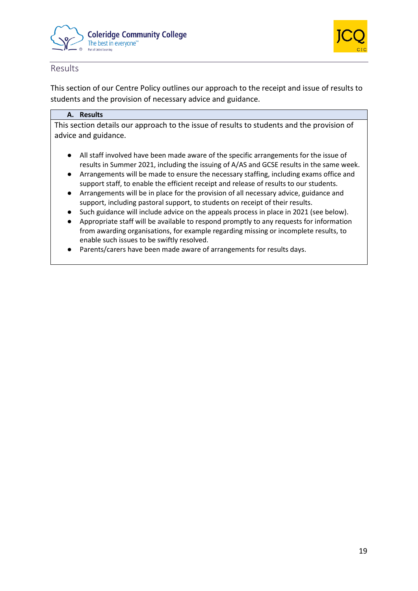



## Results

This section of our Centre Policy outlines our approach to the receipt and issue of results to students and the provision of necessary advice and guidance.

| A. Results                                                                                                                                                                                                                                                                                                                                                                                                                                                                                                                                                                                                                                                                                    |  |
|-----------------------------------------------------------------------------------------------------------------------------------------------------------------------------------------------------------------------------------------------------------------------------------------------------------------------------------------------------------------------------------------------------------------------------------------------------------------------------------------------------------------------------------------------------------------------------------------------------------------------------------------------------------------------------------------------|--|
| This section details our approach to the issue of results to students and the provision of                                                                                                                                                                                                                                                                                                                                                                                                                                                                                                                                                                                                    |  |
| advice and guidance.                                                                                                                                                                                                                                                                                                                                                                                                                                                                                                                                                                                                                                                                          |  |
| All staff involved have been made aware of the specific arrangements for the issue of<br>$\bullet$<br>results in Summer 2021, including the issuing of A/AS and GCSE results in the same week.<br>Arrangements will be made to ensure the necessary staffing, including exams office and<br>$\bullet$<br>support staff, to enable the efficient receipt and release of results to our students.<br>Arrangements will be in place for the provision of all necessary advice, guidance and<br>$\bullet$<br>support, including pastoral support, to students on receipt of their results.<br>Such guidance will include advice on the appeals process in place in 2021 (see below).<br>$\bullet$ |  |
| Appropriate staff will be available to respond promptly to any requests for information<br>$\bullet$                                                                                                                                                                                                                                                                                                                                                                                                                                                                                                                                                                                          |  |

- from awarding organisations, for example regarding missing or incomplete results, to enable such issues to be swiftly resolved.
- Parents/carers have been made aware of arrangements for results days.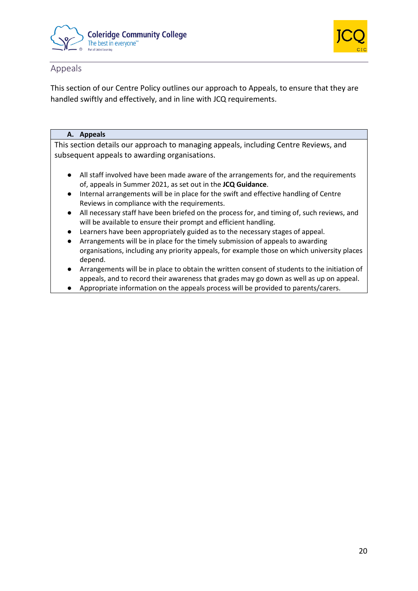



## Appeals

This section of our Centre Policy outlines our approach to Appeals, to ensure that they are handled swiftly and effectively, and in line with JCQ requirements.

#### **A. Appeals**

This section details our approach to managing appeals, including Centre Reviews, and subsequent appeals to awarding organisations.

- All staff involved have been made aware of the arrangements for, and the requirements of, appeals in Summer 2021, as set out in the **JCQ Guidance**.
- Internal arrangements will be in place for the swift and effective handling of Centre Reviews in compliance with the requirements.
- All necessary staff have been briefed on the process for, and timing of, such reviews, and will be available to ensure their prompt and efficient handling.
- Learners have been appropriately guided as to the necessary stages of appeal.
- Arrangements will be in place for the timely submission of appeals to awarding organisations, including any priority appeals, for example those on which university places depend.
- Arrangements will be in place to obtain the written consent of students to the initiation of appeals, and to record their awareness that grades may go down as well as up on appeal.
- Appropriate information on the appeals process will be provided to parents/carers.